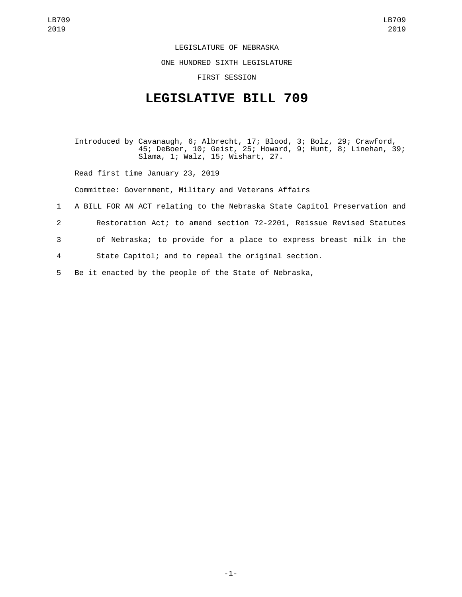LEGISLATURE OF NEBRASKA

ONE HUNDRED SIXTH LEGISLATURE

FIRST SESSION

## **LEGISLATIVE BILL 709**

Introduced by Cavanaugh, 6; Albrecht, 17; Blood, 3; Bolz, 29; Crawford, 45; DeBoer, 10; Geist, 25; Howard, 9; Hunt, 8; Linehan, 39; Slama, 1; Walz, 15; Wishart, 27.

Read first time January 23, 2019

Committee: Government, Military and Veterans Affairs

- 1 A BILL FOR AN ACT relating to the Nebraska State Capitol Preservation and
- 2 Restoration Act; to amend section 72-2201, Reissue Revised Statutes
- 3 of Nebraska; to provide for a place to express breast milk in the
- 4 State Capitol; and to repeal the original section.
- 5 Be it enacted by the people of the State of Nebraska,